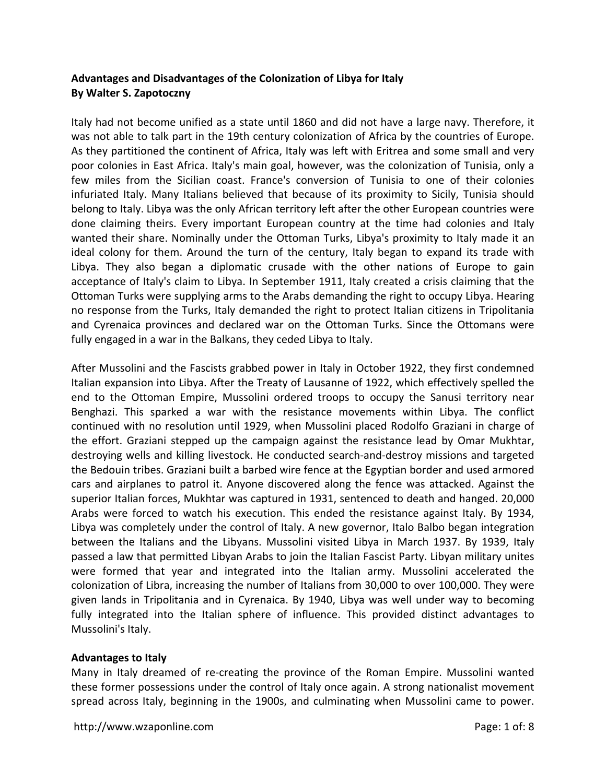# **Advantages and Disadvantages of the Colonization of Libya for Italy By Walter S. Zapotoczny**

Italy had not become unified as a state until 1860 and did not have a large navy. Therefore, it was not able to talk part in the 19th century colonization of Africa by the countries of Europe. As they partitioned the continent of Africa, Italy was left with Eritrea and some small and very poor colonies in East Africa. Italy's main goal, however, was the colonization of Tunisia, only a few miles from the Sicilian coast. France's conversion of Tunisia to one of their colonies infuriated Italy. Many Italians believed that because of its proximity to Sicily, Tunisia should belong to Italy. Libya was the only African territory left after the other European countries were done claiming theirs. Every important European country at the time had colonies and Italy wanted their share. Nominally under the Ottoman Turks, Libya's proximity to Italy made it an ideal colony for them. Around the turn of the century, Italy began to expand its trade with Libya. They also began a diplomatic crusade with the other nations of Europe to gain acceptance of Italy's claim to Libya. In September 1911, Italy created a crisis claiming that the Ottoman Turks were supplying arms to the Arabs demanding the right to occupy Libya. Hearing no response from the Turks, Italy demanded the right to protect Italian citizens in Tripolitania and Cyrenaica provinces and declared war on the Ottoman Turks. Since the Ottomans were fully engaged in a war in the Balkans, they ceded Libya to Italy.

After Mussolini and the Fascists grabbed power in Italy in October 1922, they first condemned Italian expansion into Libya. After the Treaty of Lausanne of 1922, which effectively spelled the end to the Ottoman Empire, Mussolini ordered troops to occupy the Sanusi territory near Benghazi. This sparked a war with the resistance movements within Libya. The conflict continued with no resolution until 1929, when Mussolini placed Rodolfo Graziani in charge of the effort. Graziani stepped up the campaign against the resistance lead by Omar Mukhtar, destroying wells and killing livestock. He conducted search-and-destroy missions and targeted the Bedouin tribes. Graziani built a barbed wire fence at the Egyptian border and used armored cars and airplanes to patrol it. Anyone discovered along the fence was attacked. Against the superior Italian forces, Mukhtar was captured in 1931, sentenced to death and hanged. 20,000 Arabs were forced to watch his execution. This ended the resistance against Italy. By 1934, Libya was completely under the control of Italy. A new governor, Italo Balbo began integration between the Italians and the Libyans. Mussolini visited Libya in March 1937. By 1939, Italy passed a law that permitted Libyan Arabs to join the Italian Fascist Party. Libyan military unites were formed that year and integrated into the Italian army. Mussolini accelerated the colonization of Libra, increasing the number of Italians from 30,000 to over 100,000. They were given lands in Tripolitania and in Cyrenaica. By 1940, Libya was well under way to becoming fully integrated into the Italian sphere of influence. This provided distinct advantages to Mussolini's Italy.

### **Advantages to Italy**

Many in Italy dreamed of re-creating the province of the Roman Empire. Mussolini wanted these former possessions under the control of Italy once again. A strong nationalist movement spread across Italy, beginning in the 1900s, and culminating when Mussolini came to power.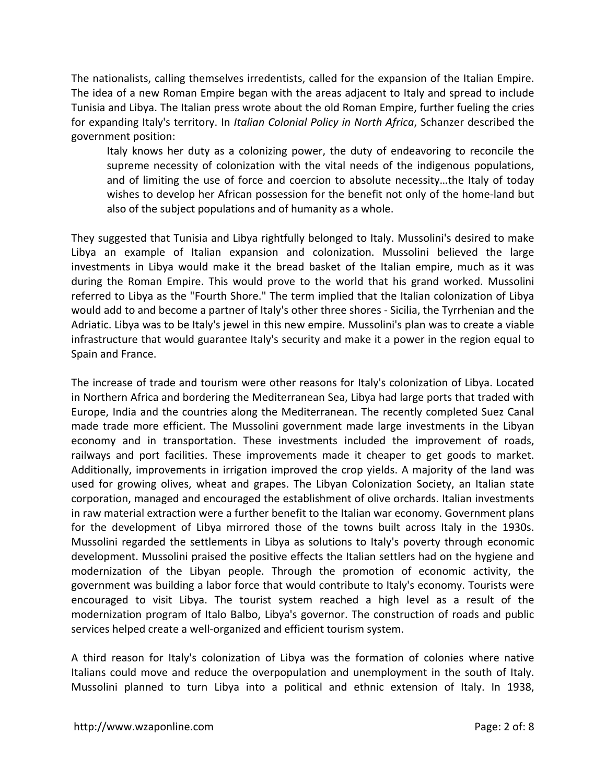The nationalists, calling themselves irredentists, called for the expansion of the Italian Empire. The idea of a new Roman Empire began with the areas adjacent to Italy and spread to include Tunisia and Libya. The Italian press wrote about the old Roman Empire, further fueling the cries for expanding Italy's territory. In *Italian Colonial Policy in North Africa*, Schanzer described the government position:

Italy knows her duty as a colonizing power, the duty of endeavoring to reconcile the supreme necessity of colonization with the vital needs of the indigenous populations, and of limiting the use of force and coercion to absolute necessity...the Italy of today wishes to develop her African possession for the benefit not only of the home‐land but also of the subject populations and of humanity as a whole.

They suggested that Tunisia and Libya rightfully belonged to Italy. Mussolini's desired to make Libya an example of Italian expansion and colonization. Mussolini believed the large investments in Libya would make it the bread basket of the Italian empire, much as it was during the Roman Empire. This would prove to the world that his grand worked. Mussolini referred to Libya as the "Fourth Shore." The term implied that the Italian colonization of Libya would add to and become a partner of Italy's other three shores ‐ Sicilia, the Tyrrhenian and the Adriatic. Libya was to be Italy's jewel in this new empire. Mussolini's plan was to create a viable infrastructure that would guarantee Italy's security and make it a power in the region equal to Spain and France.

The increase of trade and tourism were other reasons for Italy's colonization of Libya. Located in Northern Africa and bordering the Mediterranean Sea, Libya had large ports that traded with Europe, India and the countries along the Mediterranean. The recently completed Suez Canal made trade more efficient. The Mussolini government made large investments in the Libyan economy and in transportation. These investments included the improvement of roads, railways and port facilities. These improvements made it cheaper to get goods to market. Additionally, improvements in irrigation improved the crop yields. A majority of the land was used for growing olives, wheat and grapes. The Libyan Colonization Society, an Italian state corporation, managed and encouraged the establishment of olive orchards. Italian investments in raw material extraction were a further benefit to the Italian war economy. Government plans for the development of Libya mirrored those of the towns built across Italy in the 1930s. Mussolini regarded the settlements in Libya as solutions to Italy's poverty through economic development. Mussolini praised the positive effects the Italian settlers had on the hygiene and modernization of the Libyan people. Through the promotion of economic activity, the government was building a labor force that would contribute to Italy's economy. Tourists were encouraged to visit Libya. The tourist system reached a high level as a result of the modernization program of Italo Balbo, Libya's governor. The construction of roads and public services helped create a well‐organized and efficient tourism system.

A third reason for Italy's colonization of Libya was the formation of colonies where native Italians could move and reduce the overpopulation and unemployment in the south of Italy. Mussolini planned to turn Libya into a political and ethnic extension of Italy. In 1938,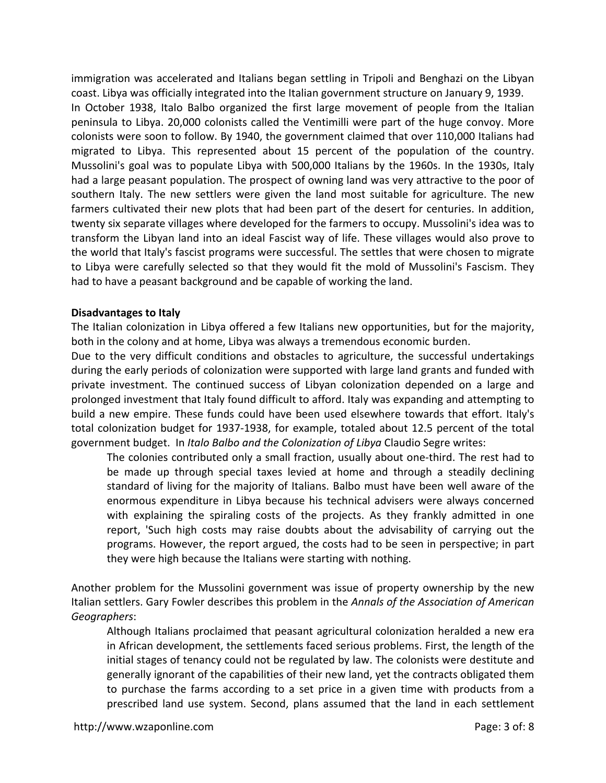immigration was accelerated and Italians began settling in Tripoli and Benghazi on the Libyan coast. Libya was officially integrated into the Italian government structure on January 9, 1939. In October 1938, Italo Balbo organized the first large movement of people from the Italian peninsula to Libya. 20,000 colonists called the Ventimilli were part of the huge convoy. More colonists were soon to follow. By 1940, the government claimed that over 110,000 Italians had migrated to Libya. This represented about 15 percent of the population of the country. Mussolini's goal was to populate Libya with 500,000 Italians by the 1960s. In the 1930s, Italy had a large peasant population. The prospect of owning land was very attractive to the poor of southern Italy. The new settlers were given the land most suitable for agriculture. The new farmers cultivated their new plots that had been part of the desert for centuries. In addition, twenty six separate villages where developed for the farmers to occupy. Mussolini's idea was to transform the Libyan land into an ideal Fascist way of life. These villages would also prove to the world that Italy's fascist programs were successful. The settles that were chosen to migrate to Libya were carefully selected so that they would fit the mold of Mussolini's Fascism. They had to have a peasant background and be capable of working the land.

#### **Disadvantages to Italy**

The Italian colonization in Libya offered a few Italians new opportunities, but for the majority, both in the colony and at home, Libya was always a tremendous economic burden.

Due to the very difficult conditions and obstacles to agriculture, the successful undertakings during the early periods of colonization were supported with large land grants and funded with private investment. The continued success of Libyan colonization depended on a large and prolonged investment that Italy found difficult to afford. Italy was expanding and attempting to build a new empire. These funds could have been used elsewhere towards that effort. Italy's total colonization budget for 1937‐1938, for example, totaled about 12.5 percent of the total government budget. In *Italo Balbo and the Colonization of Libya* Claudio Segre writes:

The colonies contributed only a small fraction, usually about one‐third. The rest had to be made up through special taxes levied at home and through a steadily declining standard of living for the majority of Italians. Balbo must have been well aware of the enormous expenditure in Libya because his technical advisers were always concerned with explaining the spiraling costs of the projects. As they frankly admitted in one report, 'Such high costs may raise doubts about the advisability of carrying out the programs. However, the report argued, the costs had to be seen in perspective; in part they were high because the Italians were starting with nothing.

Another problem for the Mussolini government was issue of property ownership by the new Italian settlers. Gary Fowler describes this problem in the *Annals of the Association of American Geographers*:

Although Italians proclaimed that peasant agricultural colonization heralded a new era in African development, the settlements faced serious problems. First, the length of the initial stages of tenancy could not be regulated by law. The colonists were destitute and generally ignorant of the capabilities of their new land, yet the contracts obligated them to purchase the farms according to a set price in a given time with products from a prescribed land use system. Second, plans assumed that the land in each settlement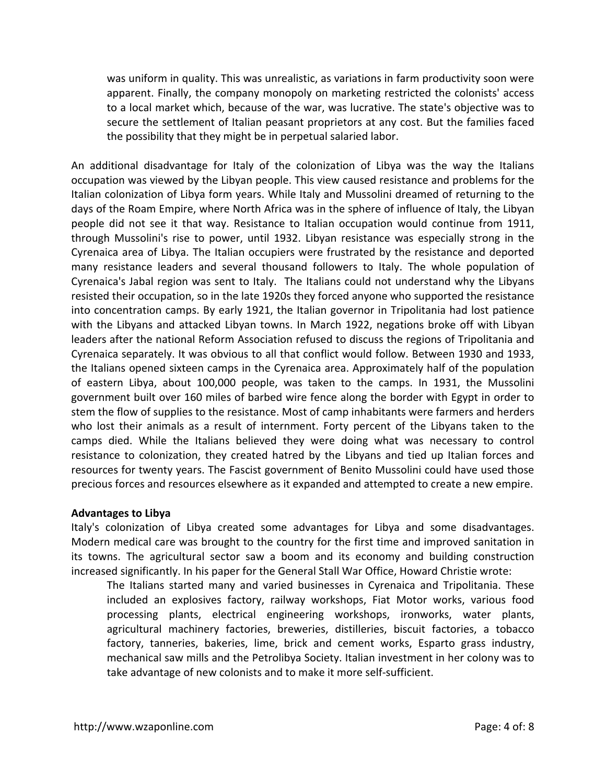was uniform in quality. This was unrealistic, as variations in farm productivity soon were apparent. Finally, the company monopoly on marketing restricted the colonists' access to a local market which, because of the war, was lucrative. The state's objective was to secure the settlement of Italian peasant proprietors at any cost. But the families faced the possibility that they might be in perpetual salaried labor.

An additional disadvantage for Italy of the colonization of Libya was the way the Italians occupation was viewed by the Libyan people. This view caused resistance and problems for the Italian colonization of Libya form years. While Italy and Mussolini dreamed of returning to the days of the Roam Empire, where North Africa was in the sphere of influence of Italy, the Libyan people did not see it that way. Resistance to Italian occupation would continue from 1911, through Mussolini's rise to power, until 1932. Libyan resistance was especially strong in the Cyrenaica area of Libya. The Italian occupiers were frustrated by the resistance and deported many resistance leaders and several thousand followers to Italy. The whole population of Cyrenaica's Jabal region was sent to Italy. The Italians could not understand why the Libyans resisted their occupation, so in the late 1920s they forced anyone who supported the resistance into concentration camps. By early 1921, the Italian governor in Tripolitania had lost patience with the Libyans and attacked Libyan towns. In March 1922, negations broke off with Libyan leaders after the national Reform Association refused to discuss the regions of Tripolitania and Cyrenaica separately. It was obvious to all that conflict would follow. Between 1930 and 1933, the Italians opened sixteen camps in the Cyrenaica area. Approximately half of the population of eastern Libya, about 100,000 people, was taken to the camps. In 1931, the Mussolini government built over 160 miles of barbed wire fence along the border with Egypt in order to stem the flow of supplies to the resistance. Most of camp inhabitants were farmers and herders who lost their animals as a result of internment. Forty percent of the Libyans taken to the camps died. While the Italians believed they were doing what was necessary to control resistance to colonization, they created hatred by the Libyans and tied up Italian forces and resources for twenty years. The Fascist government of Benito Mussolini could have used those precious forces and resources elsewhere as it expanded and attempted to create a new empire.

### **Advantages to Libya**

Italy's colonization of Libya created some advantages for Libya and some disadvantages. Modern medical care was brought to the country for the first time and improved sanitation in its towns. The agricultural sector saw a boom and its economy and building construction increased significantly. In his paper for the General Stall War Office, Howard Christie wrote:

The Italians started many and varied businesses in Cyrenaica and Tripolitania. These included an explosives factory, railway workshops, Fiat Motor works, various food processing plants, electrical engineering workshops, ironworks, water plants, agricultural machinery factories, breweries, distilleries, biscuit factories, a tobacco factory, tanneries, bakeries, lime, brick and cement works, Esparto grass industry, mechanical saw mills and the Petrolibya Society. Italian investment in her colony was to take advantage of new colonists and to make it more self‐sufficient.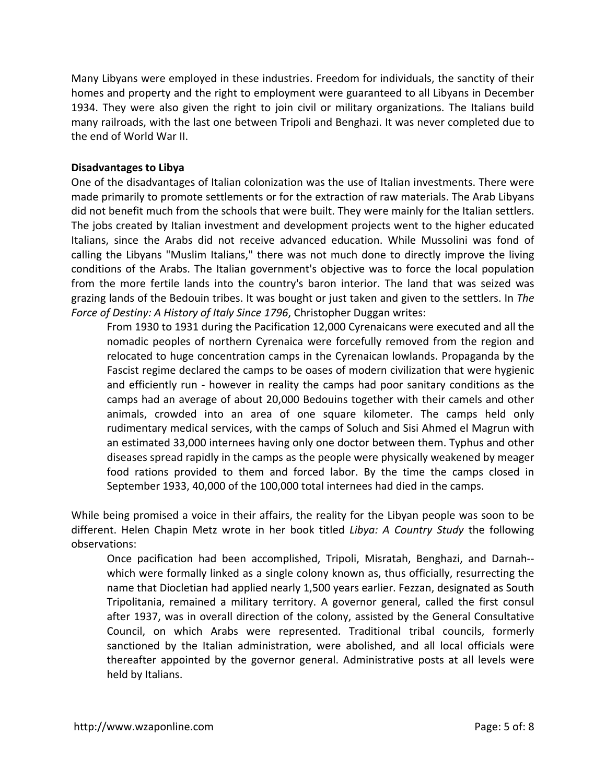Many Libyans were employed in these industries. Freedom for individuals, the sanctity of their homes and property and the right to employment were guaranteed to all Libyans in December 1934. They were also given the right to join civil or military organizations. The Italians build many railroads, with the last one between Tripoli and Benghazi. It was never completed due to the end of World War II.

## **Disadvantages to Libya**

One of the disadvantages of Italian colonization was the use of Italian investments. There were made primarily to promote settlements or for the extraction of raw materials. The Arab Libyans did not benefit much from the schools that were built. They were mainly for the Italian settlers. The jobs created by Italian investment and development projects went to the higher educated Italians, since the Arabs did not receive advanced education. While Mussolini was fond of calling the Libyans "Muslim Italians," there was not much done to directly improve the living conditions of the Arabs. The Italian government's objective was to force the local population from the more fertile lands into the country's baron interior. The land that was seized was grazing lands of the Bedouin tribes. It was bought or just taken and given to the settlers. In *The Force of Destiny: A History of Italy Since 1796*, Christopher Duggan writes:

From 1930 to 1931 during the Pacification 12,000 Cyrenaicans were executed and all the nomadic peoples of northern Cyrenaica were forcefully removed from the region and relocated to huge concentration camps in the Cyrenaican lowlands. Propaganda by the Fascist regime declared the camps to be oases of modern civilization that were hygienic and efficiently run - however in reality the camps had poor sanitary conditions as the camps had an average of about 20,000 Bedouins together with their camels and other animals, crowded into an area of one square kilometer. The camps held only rudimentary medical services, with the camps of Soluch and Sisi Ahmed el Magrun with an estimated 33,000 internees having only one doctor between them. Typhus and other diseases spread rapidly in the camps as the people were physically weakened by meager food rations provided to them and forced labor. By the time the camps closed in September 1933, 40,000 of the 100,000 total internees had died in the camps.

While being promised a voice in their affairs, the reality for the Libyan people was soon to be different. Helen Chapin Metz wrote in her book titled *Libya: A Country Study* the following observations:

Once pacification had been accomplished, Tripoli, Misratah, Benghazi, and Darnah‐‐ which were formally linked as a single colony known as, thus officially, resurrecting the name that Diocletian had applied nearly 1,500 years earlier. Fezzan, designated as South Tripolitania, remained a military territory. A governor general, called the first consul after 1937, was in overall direction of the colony, assisted by the General Consultative Council, on which Arabs were represented. Traditional tribal councils, formerly sanctioned by the Italian administration, were abolished, and all local officials were thereafter appointed by the governor general. Administrative posts at all levels were held by Italians.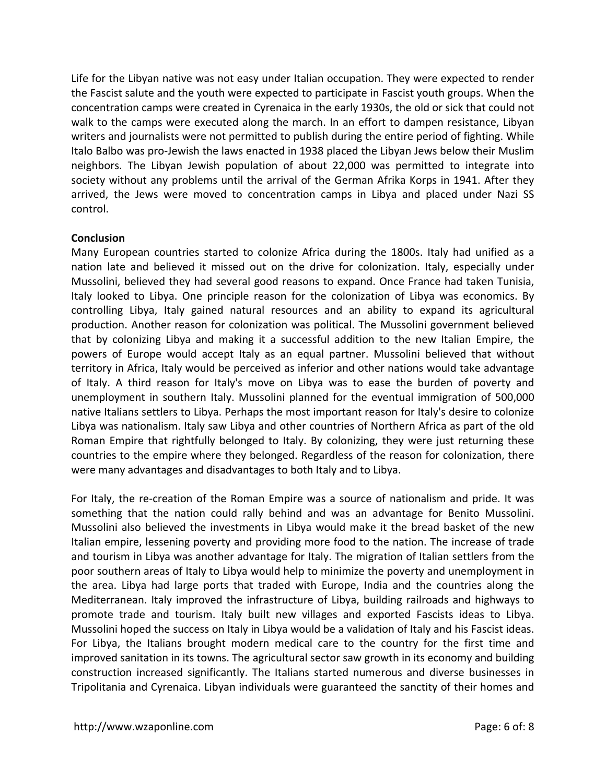Life for the Libyan native was not easy under Italian occupation. They were expected to render the Fascist salute and the youth were expected to participate in Fascist youth groups. When the concentration camps were created in Cyrenaica in the early 1930s, the old or sick that could not walk to the camps were executed along the march. In an effort to dampen resistance, Libyan writers and journalists were not permitted to publish during the entire period of fighting. While Italo Balbo was pro‐Jewish the laws enacted in 1938 placed the Libyan Jews below their Muslim neighbors. The Libyan Jewish population of about 22,000 was permitted to integrate into society without any problems until the arrival of the German Afrika Korps in 1941. After they arrived, the Jews were moved to concentration camps in Libya and placed under Nazi SS control.

### **Conclusion**

Many European countries started to colonize Africa during the 1800s. Italy had unified as a nation late and believed it missed out on the drive for colonization. Italy, especially under Mussolini, believed they had several good reasons to expand. Once France had taken Tunisia, Italy looked to Libya. One principle reason for the colonization of Libya was economics. By controlling Libya, Italy gained natural resources and an ability to expand its agricultural production. Another reason for colonization was political. The Mussolini government believed that by colonizing Libya and making it a successful addition to the new Italian Empire, the powers of Europe would accept Italy as an equal partner. Mussolini believed that without territory in Africa, Italy would be perceived as inferior and other nations would take advantage of Italy. A third reason for Italy's move on Libya was to ease the burden of poverty and unemployment in southern Italy. Mussolini planned for the eventual immigration of 500,000 native Italians settlers to Libya. Perhaps the most important reason for Italy's desire to colonize Libya was nationalism. Italy saw Libya and other countries of Northern Africa as part of the old Roman Empire that rightfully belonged to Italy. By colonizing, they were just returning these countries to the empire where they belonged. Regardless of the reason for colonization, there were many advantages and disadvantages to both Italy and to Libya.

For Italy, the re-creation of the Roman Empire was a source of nationalism and pride. It was something that the nation could rally behind and was an advantage for Benito Mussolini. Mussolini also believed the investments in Libya would make it the bread basket of the new Italian empire, lessening poverty and providing more food to the nation. The increase of trade and tourism in Libya was another advantage for Italy. The migration of Italian settlers from the poor southern areas of Italy to Libya would help to minimize the poverty and unemployment in the area. Libya had large ports that traded with Europe, India and the countries along the Mediterranean. Italy improved the infrastructure of Libya, building railroads and highways to promote trade and tourism. Italy built new villages and exported Fascists ideas to Libya. Mussolini hoped the success on Italy in Libya would be a validation of Italy and his Fascist ideas. For Libya, the Italians brought modern medical care to the country for the first time and improved sanitation in its towns. The agricultural sector saw growth in its economy and building construction increased significantly. The Italians started numerous and diverse businesses in Tripolitania and Cyrenaica. Libyan individuals were guaranteed the sanctity of their homes and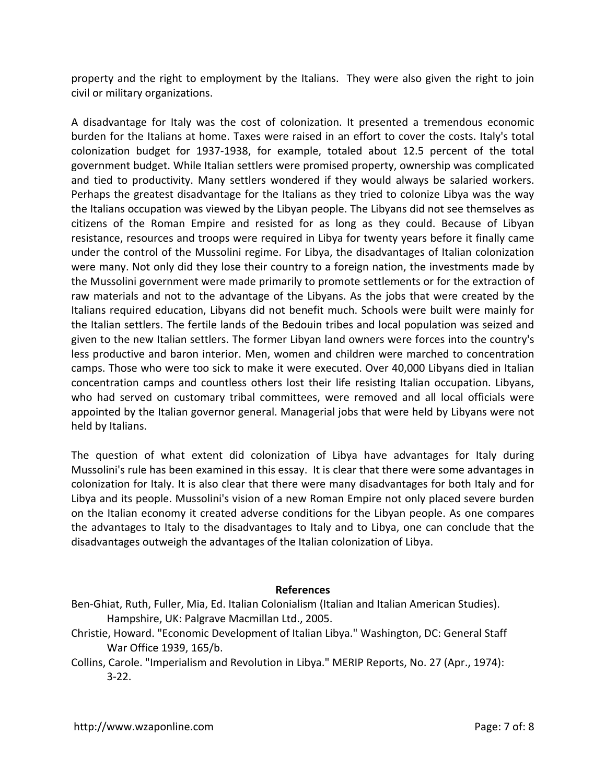property and the right to employment by the Italians. They were also given the right to join civil or military organizations.

A disadvantage for Italy was the cost of colonization. It presented a tremendous economic burden for the Italians at home. Taxes were raised in an effort to cover the costs. Italy's total colonization budget for 1937‐1938, for example, totaled about 12.5 percent of the total government budget. While Italian settlers were promised property, ownership was complicated and tied to productivity. Many settlers wondered if they would always be salaried workers. Perhaps the greatest disadvantage for the Italians as they tried to colonize Libya was the way the Italians occupation was viewed by the Libyan people. The Libyans did not see themselves as citizens of the Roman Empire and resisted for as long as they could. Because of Libyan resistance, resources and troops were required in Libya for twenty years before it finally came under the control of the Mussolini regime. For Libya, the disadvantages of Italian colonization were many. Not only did they lose their country to a foreign nation, the investments made by the Mussolini government were made primarily to promote settlements or for the extraction of raw materials and not to the advantage of the Libyans. As the jobs that were created by the Italians required education, Libyans did not benefit much. Schools were built were mainly for the Italian settlers. The fertile lands of the Bedouin tribes and local population was seized and given to the new Italian settlers. The former Libyan land owners were forces into the country's less productive and baron interior. Men, women and children were marched to concentration camps. Those who were too sick to make it were executed. Over 40,000 Libyans died in Italian concentration camps and countless others lost their life resisting Italian occupation. Libyans, who had served on customary tribal committees, were removed and all local officials were appointed by the Italian governor general. Managerial jobs that were held by Libyans were not held by Italians.

The question of what extent did colonization of Libya have advantages for Italy during Mussolini's rule has been examined in this essay. It is clear that there were some advantages in colonization for Italy. It is also clear that there were many disadvantages for both Italy and for Libya and its people. Mussolini's vision of a new Roman Empire not only placed severe burden on the Italian economy it created adverse conditions for the Libyan people. As one compares the advantages to Italy to the disadvantages to Italy and to Libya, one can conclude that the disadvantages outweigh the advantages of the Italian colonization of Libya.

### **References**

- Ben‐Ghiat, Ruth, Fuller, Mia, Ed. Italian Colonialism (Italian and Italian American Studies). Hampshire, UK: Palgrave Macmillan Ltd., 2005.
- Christie, Howard. "Economic Development of Italian Libya." Washington, DC: General Staff War Office 1939, 165/b.
- Collins, Carole. "Imperialism and Revolution in Libya." MERIP Reports, No. 27 (Apr., 1974): 3‐22.